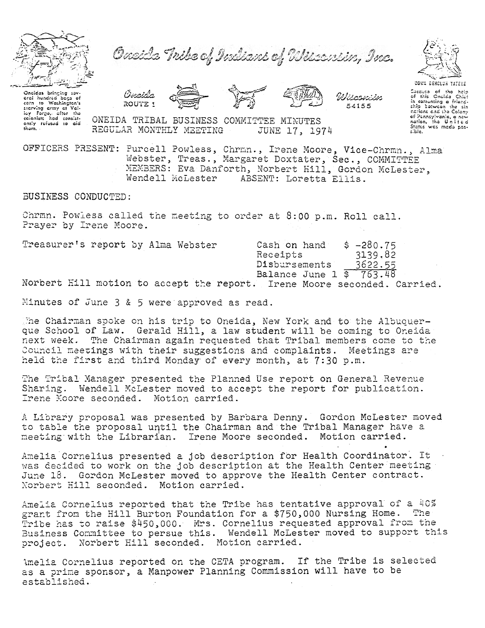

Oneida Tribe of Indians of Wisconsin, Inc.

Oncidas bringing sav eral hundred bags of Exerving craw of Voltage that the colonists had consistently refused to cidentally refused to cidental thom.







54155

ONEIDA TRIBAL BUSINESS COMMITTEE MINUTES REGULAR MONTHLY MEETING JUNE 17, 1974

OFFICERS PRESENT: Purcell Powless, Chrmn., Irene Moore, Vice-Chrmn., Alma Webster, Treas., Margaret Doxtater, Sec., COMMITTEE MEMBERS: Eva Danforth, Norbert Hill, Gordon McLester, Wendell McLester ABSENT: Loretta Ellis.

BUSINESS CONDUCTED:

Chrmn. Powless called the meeting to order at 8:00 p.m. Roll call. Prayer by Irene Moore.

| Treasurer's report by Alma Webster |  |  |  |               |  | Cash on hand                                     |         |  | $$ -280.75$ |                                                                          |  |
|------------------------------------|--|--|--|---------------|--|--------------------------------------------------|---------|--|-------------|--------------------------------------------------------------------------|--|
|                                    |  |  |  |               |  | Receipts                                         |         |  | 3139.82     |                                                                          |  |
|                                    |  |  |  | Disbursements |  |                                                  | 3622.55 |  |             |                                                                          |  |
|                                    |  |  |  |               |  | Balance June $1 \overline{\$} \overline{763.48}$ |         |  |             |                                                                          |  |
|                                    |  |  |  |               |  |                                                  |         |  |             | Norbert Hill motion to accept the report. Irene Moore seconded. Carried. |  |

Minutes of June 3 & 5 were approved as read.

The Chairman spoke on his trip to Oneida, New York and to the Albuquerque School of Law. Gerald Hill, a law student will be coming to Oneida next week. The Chairman again requested that Tribal members come to the Council meetings with their suggestions and complaints. Meetings are held the first and third Monday of every month, at 7:30 p.m.

The Tribal Manager presented the Planned Use report on General Revenue Sharing. Wendell McLester moved to accept the report for publication. Irene Moore seconded. Motion carried.

A Library proposal was presented by Barbara Denny. Gordon McLester moved to table the proposal until the Chairman and the Tribal Manager have a meeting with the Librarian. Irene Moore seconded. Motion carried.

Amelia Cornelius presented a job description for Health Coordinator. It was decided to work on the job description at the Health Center meeting June 18. Gordon McLester moved to approve the Health Center contract. Norbert Hill seconded. Motion carried.

Amelia Cornelius reported that the Tribe has tentative approval of a 40% grant from the Hill Burton Foundation for a \$750,000 Nursing Home. The Tribe has to raise \$450,000. Mrs. Cornelius requested approval from the Business Committee to persue this. Wendell McLester moved to support this project. Norbert Hill seconded. Motion carried.

Amelia Cornelius reported on the CETA program. If the Tribe is selected as a prime sponsor, a Manpower Planning Commission will have to be established.



Coccuso of the help of this Onelda Chief<br>in comenting a friend-<br>ship botwoon the six<br>negions and the Colony

of Pannsylvanie, a new

 $E = 1$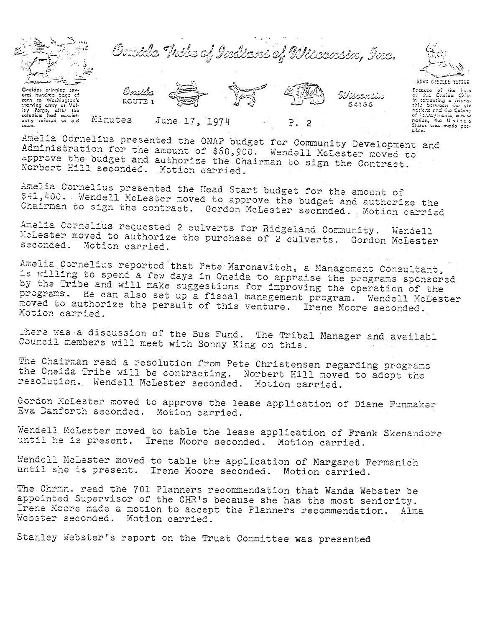

Orsside Thile of Indians of Wisconsin, Inc.



Oneides bringing sovorci hundrod bags of to Washington's costa starving amy at Val-<br>starving amy at Val-<br>colonists had consistently refesed to did  $max.$ 

**ROUTE 1** Minutes June 17, 1974

 $P.2$ 

Wissensin

54155

GOWA DENCLUS YATERE tecture of the halp or mis Unergia Cine,<br>In comenting a friend-<br>chip between the six<br>nations and the Colony of Pennsylvenie, e new nation, the United<br>States was made poscible.

Amelia Cornelius presented the ONAP budget for Community Development and Administration for the amount of \$50,900. Wendell McLester moved to approve the budget and authorize the Chairman to sign the Contract. Norbert Hill seconded. Motion carried.

Amelia Cornelius presented the Head Start budget for the amount of \$41,400. Wendell McLester moved to approve the budget and authorize the Chairman to sign the contract. Gordon McLester secunded. Motion carried

Amelia Cornelius requested 2 culverts for Ridgeland Community. Wendell McLester moved to authorize the purchase of 2 culverts. Gordon McLester seconded. Motion carried.

Amelia Cornelius reported that Pete Maronavitch, a Management Consultant, is willing to spend a few days in Oneida to appraise the programs sponsored by the Tribe and will make suggestions for improving the operation of the programs. He can also set up a fiscal management program. Wendell McLester moved to authorize the persuit of this venture. Irene Moore seconded. Motion carried.

There was a discussion of the Bus Fund. The Tribal Manager and availabl Council members will meet with Sonny King on this.

The Chairman read a resolution from Pete Christensen regarding programs the Oneida Tribe will be contracting. Norbert Hill moved to adopt the resolution. Wendell McLester seconded. Motion carried.

Gordon McLester moved to approve the lease application of Diane Funmaker Eva Danforth seconded. Motion carried.

Wendell McLester moved to table the lease application of Frank Skenandore until he is present. Irene Moore seconded. Motion carried.

Wendell McLester moved to table the application of Margaret Fermanich until she is present. Irene Moore seconded. Motion carried.

The Chrmn. read the 701 Planners recommendation that Wanda Webster be appointed Supervisor of the CHR's because she has the most seniority. Irene Moore made a motion to accept the Planners recommendation. Alma Webster seconded. Motion carried.

Stanley Webster's report on the Trust Committee was presented